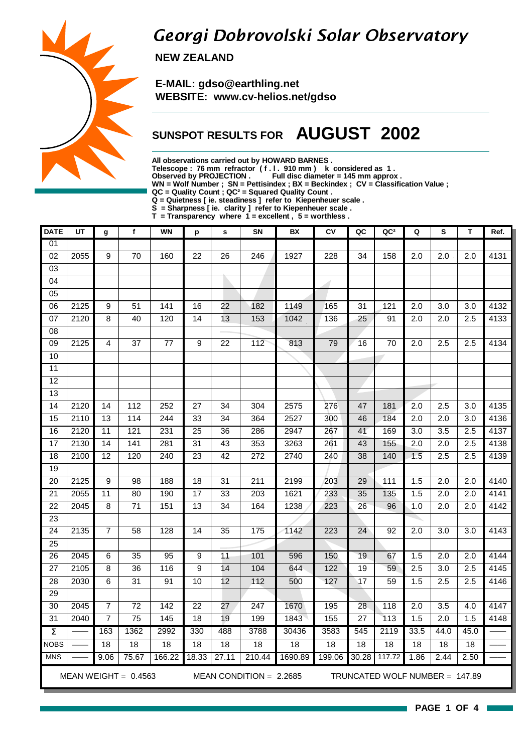## Georgi Dobrovolski Solar Observatory

 **NEW ZEALAND**

 **E-MAIL: gdso@earthling.net WEBSITE: www.cv-helios.net/gdso**

### **SUNSPOT RESULTS FOR AUGUST 2002**

**All observations carried out by HOWARD BARNES .**

**Telescope : 76 mm refractor ( f . l . 910 mm ) k considered as 1 .**

**Observed by PROJECTION . Full disc diameter = 145 mm approx .**

**WN = Wolf Number ; SN = Pettisindex ; BX = Beckindex ; CV = Classification Value ;**

**QC = Quality Count ; QC² = Squared Quality Count .**

**Q = Quietness [ ie. steadiness ] refer to Kiepenheuer scale .**

**S = Sharpness [ ie. clarity ] refer to Kiepenheuer scale .**

**T = Transparency where 1 = excellent , 5 = worthless .**

| <b>DATE</b>         | UT   | g               | $\mathbf{f}$           | <b>WN</b> | p               | s               | SN                        | BX      | CV               | QC              | QC <sup>2</sup>                | Q                | ${\sf s}$        | T                | Ref. |
|---------------------|------|-----------------|------------------------|-----------|-----------------|-----------------|---------------------------|---------|------------------|-----------------|--------------------------------|------------------|------------------|------------------|------|
| 01                  |      |                 |                        |           |                 |                 |                           |         |                  |                 |                                |                  |                  |                  |      |
| $\overline{02}$     | 2055 | 9               | 70                     | 160       | 22              | 26              | 246                       | 1927    | 228              | 34              | 158                            | 2.0              | 2.0              | 2.0              | 4131 |
| 03                  |      |                 |                        |           |                 |                 |                           |         |                  |                 |                                |                  |                  |                  |      |
| 04                  |      |                 |                        |           |                 |                 |                           |         | -1               |                 |                                |                  |                  |                  |      |
| 05                  |      |                 |                        |           |                 |                 |                           |         |                  |                 |                                |                  |                  |                  |      |
| $\overline{06}$     | 2125 | 9               | 51                     | 141       | 16              | 22              | 182                       | 1149    | 165              | 31              | 121                            | 2.0              | 3.0              | 3.0              | 4132 |
| 07                  | 2120 | 8               | 40                     | 120       | 14              | 13              | 153                       | 1042    | 136              | 25              | 91                             | 2.0              | 2.0              | 2.5              | 4133 |
| 08                  |      |                 |                        |           |                 |                 |                           |         |                  |                 |                                |                  |                  |                  |      |
| $\overline{09}$     | 2125 | 4               | 37                     | 77        | 9               | 22              | 112                       | 813     | 79               | 16              | 70                             | 2.0              | 2.5              | 2.5              | 4134 |
| 10                  |      |                 |                        |           |                 |                 |                           |         |                  |                 |                                |                  |                  |                  |      |
| 11                  |      |                 |                        |           |                 |                 |                           |         |                  |                 |                                |                  |                  |                  |      |
| 12                  |      |                 |                        |           |                 |                 |                           |         |                  |                 |                                |                  |                  |                  |      |
| 13                  |      |                 |                        |           |                 |                 |                           |         |                  |                 |                                |                  |                  |                  |      |
| $\overline{14}$     | 2120 | 14              | 112                    | 252       | $\overline{27}$ | 34              | 304                       | 2575    | 276              | 47              | 181                            | $\overline{2.0}$ | 2.5              | 3.0              | 4135 |
| 15                  | 2110 | 13              | 114                    | 244       | 33              | 34              | 364                       | 2527    | 300              | 46              | 184                            | 2.0              | 2.0              | 3.0              | 4136 |
| 16                  | 2120 | $\overline{11}$ | 121                    | 231       | $\overline{25}$ | 36              | 286                       | 2947    | 267              | 41              | 169                            | $\overline{3.0}$ | $\overline{3.5}$ | $\overline{2.5}$ | 4137 |
| $\overline{17}$     | 2130 | 14              | 141                    | 281       | 31              | 43              | 353                       | 3263    | 261              | 43              | 155                            | 2.0              | $\overline{2.0}$ | 2.5              | 4138 |
| 18                  | 2100 | 12              | 120                    | 240       | 23              | 42              | 272                       | 2740    | 240              | 38              | 140                            | 1.5              | 2.5              | 2.5              | 4139 |
| 19                  |      |                 |                        |           |                 |                 |                           |         |                  |                 |                                |                  |                  |                  |      |
| 20                  | 2125 | 9               | 98                     | 188       | 18              | 31              | 211                       | 2199    | 203              | 29              | 111                            | 1.5              | 2.0              | 2.0              | 4140 |
| $\overline{21}$     | 2055 | $\overline{11}$ | $\overline{80}$        | 190       | $\overline{17}$ | 33              | $\overline{203}$          | 1621    | 233              | 35              | 135                            | 1.5              | $\overline{2.0}$ | 2.0              | 4141 |
| $\overline{22}$     | 2045 | 8               | 71                     | 151       | $\overline{13}$ | 34              | 164                       | 1238    | 223              | 26              | 96                             | 1.0              | $\overline{2.0}$ | 2.0              | 4142 |
| $\overline{23}$     |      |                 |                        |           |                 |                 |                           |         |                  |                 |                                |                  |                  |                  |      |
| $\overline{24}$     | 2135 | 7               | 58                     | 128       | 14              | $\overline{35}$ | 175                       | 1142    | 223              | 24              | 92                             | 2.0              | 3.0              | 3.0              | 4143 |
| $\overline{25}$     |      |                 |                        |           |                 |                 |                           |         |                  |                 |                                |                  |                  |                  |      |
| 26                  | 2045 | 6               | $\overline{35}$        | 95        | 9               | $\overline{11}$ | 101                       | 596     | 150              | $\overline{19}$ | 67                             | 1.5              | 2.0              | 2.0              | 4144 |
| $\overline{27}$     | 2105 | 8               | $\overline{36}$        | 116       | 9               | 14              | 104                       | 644     | $\overline{122}$ | $\overline{19}$ | 59                             | $\overline{2.5}$ | $\overline{3.0}$ | 2.5              | 4145 |
| $\overline{28}$     | 2030 | 6               | $\overline{31}$        | 91        | 10              | 12              | 112                       | 500     | 127              | 17              | 59                             | 1.5              | 2.5              | 2.5              | 4146 |
| 29                  |      |                 |                        |           |                 |                 |                           |         |                  |                 |                                |                  |                  |                  |      |
| 30                  | 2045 | 7               | $\overline{72}$        | 142       | $\overline{22}$ | 27              | 247                       | 1670    | 195              | 28              | 118                            | 2.0              | 3.5              | 4.0              | 4147 |
| 31                  | 2040 | $\overline{7}$  | $\overline{75}$        | 145       | 18              | 19              | 199                       | 1843    | 155              | $\overline{27}$ | 113                            | 1.5              | 2.0              | 1.5              | 4148 |
| $\overline{\Sigma}$ |      | 163             | 1362                   | 2992      | 330             | 488             | 3788                      | 30436   | 3583             | 545             | 2119                           | 33.5             | 44.0             | 45.0             |      |
| <b>NOBS</b>         |      | $\overline{18}$ | 18                     | 18        | $\overline{18}$ | 18              | $\overline{18}$           | 18      | $\overline{18}$  | 18              | 18                             | $\overline{18}$  | $\overline{18}$  | $\overline{18}$  |      |
| <b>MNS</b>          |      | 9.06            | 75.67                  | 166.22    | 18.33           | 27.11           | 210.44                    | 1690.89 | 199.06           | 30.28           | 117.72                         | 1.86             | 2.44             | 2.50             |      |
|                     |      |                 | MEAN WEIGHT = $0.4563$ |           |                 |                 | MEAN CONDITION = $2.2685$ |         |                  |                 | TRUNCATED WOLF NUMBER = 147.89 |                  |                  |                  |      |

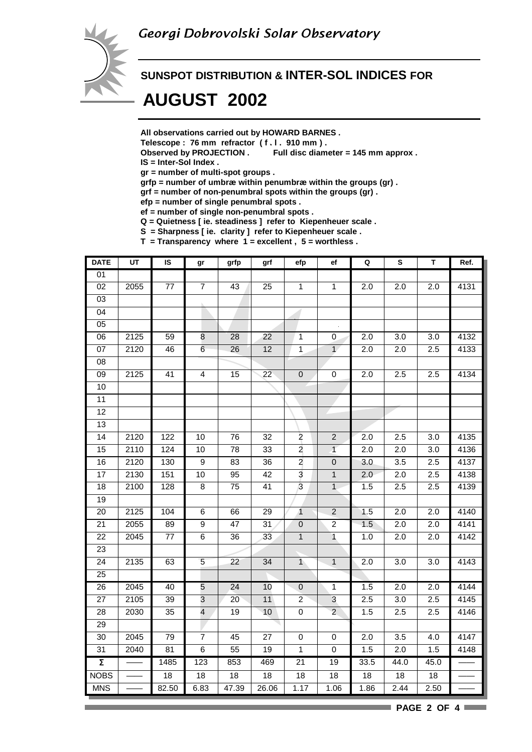

#### **SUNSPOT DISTRIBUTION & INTER-SOL INDICES FOR**

## **AUGUST 2002**

**All observations carried out by HOWARD BARNES .**

- **Telescope : 76 mm refractor ( f . l . 910 mm ) .**
- **Observed by PROJECTION . Full disc diameter = 145 mm approx .**

**IS = Inter-Sol Index .**

- **gr = number of multi-spot groups .**
- **grfp = number of umbræ within penumbræ within the groups (gr) .**
- **grf = number of non-penumbral spots within the groups (gr) .**

**efp = number of single penumbral spots .**

- **ef = number of single non-penumbral spots .**
- **Q = Quietness [ ie. steadiness ] refer to Kiepenheuer scale .**
- **S = Sharpness [ ie. clarity ] refer to Kiepenheuer scale .**
- **T = Transparency where 1 = excellent , 5 = worthless .**

| <b>DATE</b>         | UT                | IS              | gr                      | grfp            | grf                      | efp              | ef               | Q                | $\mathbf{s}$     | T    | Ref.             |
|---------------------|-------------------|-----------------|-------------------------|-----------------|--------------------------|------------------|------------------|------------------|------------------|------|------------------|
| $\overline{01}$     |                   |                 |                         |                 |                          |                  |                  |                  |                  |      |                  |
| $\overline{02}$     | 2055              | 77              | $\overline{7}$          | 43              | 25                       | $\mathbf 1$      | $\mathbf{1}$     | 2.0              | $\overline{2.0}$ | 2.0  | 4131             |
| $\overline{03}$     |                   |                 |                         |                 |                          |                  |                  |                  |                  |      |                  |
| $\overline{04}$     |                   |                 |                         |                 |                          |                  |                  |                  |                  |      |                  |
| 05                  |                   |                 |                         |                 |                          |                  |                  |                  |                  |      |                  |
| 06                  | 2125              | 59              | 8                       | 28              | $\overline{22}$          | $\mathbf 1$      | 0                | 2.0              | $\overline{3.0}$ | 3.0  | 4132             |
| 07                  | 2120              | 46              | 6                       | 26              | $\overline{12}$          | $\mathbf 1$      | $\mathbf{1}$     | 2.0              | 2.0              | 2.5  | 4133             |
| $\overline{08}$     |                   |                 |                         |                 |                          |                  |                  |                  |                  |      |                  |
| 09                  | 2125              | 41              | $\overline{4}$          | 15              | 22                       | $\pmb{0}$        | $\pmb{0}$        | 2.0              | 2.5              | 2.5  | 4134             |
| 10                  |                   |                 |                         |                 |                          |                  |                  |                  |                  |      |                  |
| $\overline{11}$     |                   |                 |                         |                 |                          |                  |                  |                  |                  |      |                  |
| $\overline{12}$     |                   |                 |                         |                 |                          |                  |                  |                  |                  |      |                  |
| $\overline{13}$     |                   |                 |                         |                 |                          |                  |                  |                  |                  |      |                  |
| 14                  | 2120              | 122             | 10                      | 76              | 32                       | $\overline{c}$   | $\overline{2}$   | 2.0              | 2.5              | 3.0  | 4135             |
| $\overline{15}$     | 2110              | 124             | 10                      | $\overline{78}$ | $\overline{33}$          | $\overline{2}$   | $\overline{1}$   | 2.0              | $\overline{2.0}$ | 3.0  | 4136             |
| 16                  | 2120              | 130             | $\overline{9}$          | 83              | $\overline{36}$          | $\overline{2}$   | $\overline{0}$   | 3.0              | $\overline{3.5}$ | 2.5  | 4137             |
| 17                  | 2130              | 151             | $10$                    | 95              | 42                       | 3                | $\mathbf{1}$     | 2.0              | 2.0              | 2.5  | 4138             |
| $\overline{18}$     | 2100              | 128             | $\overline{8}$          | $\overline{75}$ | 41                       | $\overline{3}$   | $\mathbf{1}$     | 1.5              | 2.5              | 2.5  | 4139             |
| 19                  |                   |                 |                         |                 |                          |                  |                  |                  |                  |      |                  |
| 20                  | 2125              | 104             | 6                       | 66              | 29                       | $\overline{1}$   | $\overline{2}$   | 1.5              | 2.0              | 2.0  | 4140             |
| $\overline{21}$     | $\overline{20}55$ | 89              | 9                       | 47              | 31                       | $\mathbf 0$      | $\boldsymbol{2}$ | 1.5              | 2.0              | 2.0  | 4141             |
| 22                  | 2045              | $77 \,$         | 6                       | 36              | 33                       | $\mathbf{1}$     | $\overline{1}$   | 1.0              | 2.0              | 2.0  | 4142             |
| 23                  |                   |                 |                         |                 |                          |                  |                  |                  |                  |      |                  |
| $\overline{24}$     | 2135              | 63              | $\overline{5}$          | $\overline{22}$ | $\overline{34}$          | $\overline{1}$   | $\mathbf{1}$     | 2.0              | $\overline{3.0}$ | 3.0  | 4143             |
| 25                  |                   |                 |                         |                 |                          |                  |                  |                  |                  |      |                  |
| 26                  | 2045              | 40              | $\overline{5}$          | 24              | 10                       | $\pmb{0}$        | $\mathbf{1}$     | $1.\overline{5}$ | 2.0              | 2.0  | 4144             |
| $\overline{27}$     | 2105              | 39              | $\overline{3}$          | 20              | 11                       | $\boldsymbol{2}$ | 3                | 2.5              | 3.0              | 2.5  | $\frac{1}{4145}$ |
| 28                  | 2030              | 35              | $\overline{\mathbf{4}}$ | 19              | 10                       | $\pmb{0}$        | $\overline{2}$   | 1.5              | 2.5              | 2.5  | 4146             |
| 29                  |                   |                 |                         |                 | $\overline{\phantom{a}}$ |                  |                  |                  |                  |      |                  |
| $\overline{30}$     | 2045              | $\overline{79}$ | $\overline{7}$          | 45              | $\overline{27}$          | $\pmb{0}$        | $\pmb{0}$        | 2.0              | $\overline{3.5}$ | 4.0  | 4147             |
| 31                  | 2040              | 81              | $\,6$                   | 55              | 19                       | $\mathbf{1}$     | $\pmb{0}$        | 1.5              | 2.0              | 1.5  | 4148             |
| $\overline{\Sigma}$ |                   | 1485            | 123                     | 853             | 469                      | 21               | 19               | 33.5             | 44.0             | 45.0 |                  |
| <b>NOBS</b>         |                   | $\overline{18}$ | $\overline{18}$         | $\overline{18}$ | $\overline{18}$          | $\overline{18}$  | 18               | 18               | 18               | 18   |                  |
| <b>MNS</b>          |                   | 82.50           | 6.83                    | 47.39           | 26.06                    | 1.17             | 1.06             | 1.86             | 2.44             | 2.50 |                  |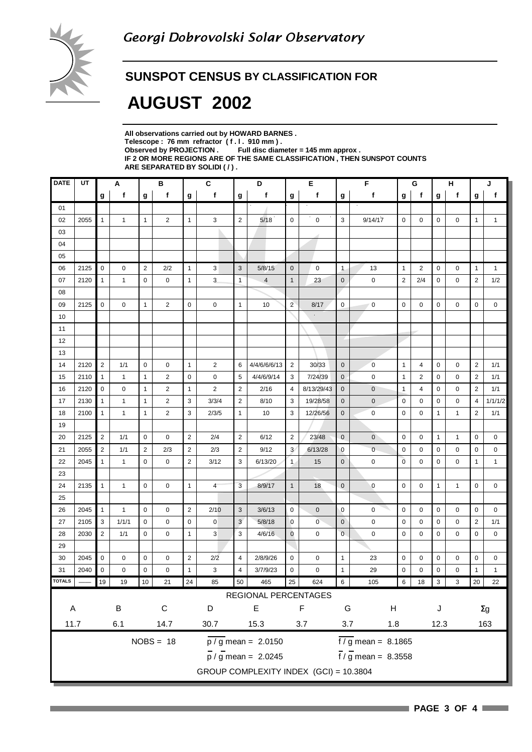

#### **SUNSPOT CENSUS BY CLASSIFICATION FOR**

## **AUGUST 2002**

| All observations carried out by HOWARD BARNES.                            |
|---------------------------------------------------------------------------|
| Telescope: 76 mm refractor (f.l. 910 mm).                                 |
| Observed by PROJECTION $\,$ Full disc diameter = 145 mm approx .          |
| IF 2 OR MORE REGIONS ARE OF THE SAME CLASSIFICATION . THEN SUNSPOT COUNTS |
| ARE SEPARATED BY SOLIDI ( / ).                                            |

| <b>DATE</b>   | UT   | А              |              | в              |                | C<br>D         |                |                | Е                                         |                | F              |                | G                               |                 | н              |              | J                         |                |              |
|---------------|------|----------------|--------------|----------------|----------------|----------------|----------------|----------------|-------------------------------------------|----------------|----------------|----------------|---------------------------------|-----------------|----------------|--------------|---------------------------|----------------|--------------|
|               |      | g              | f            | g              | f              | g              | f              | g              | f                                         | g              | f              | g              | f                               | g               | f              | g            | f                         | g              | f            |
| 01            |      |                |              |                |                |                |                |                |                                           |                |                |                |                                 |                 |                |              |                           |                |              |
| 02            | 2055 | $\mathbf{1}$   | $\mathbf{1}$ | $\mathbf{1}$   | $\overline{2}$ | $\mathbf{1}$   | 3              | $\overline{2}$ | 5/18                                      | $\mathbf 0$    | $\mathbf 0$    | 3              | 9/14/17                         | $\mathbf 0$     | 0              | 0            | 0                         | $\mathbf{1}$   | $\mathbf{1}$ |
| 03            |      |                |              |                |                |                |                |                |                                           |                |                |                |                                 |                 |                |              |                           |                |              |
| 04            |      |                |              |                |                |                |                |                |                                           |                |                |                |                                 |                 |                |              |                           |                |              |
| 05            |      |                |              |                |                |                |                |                |                                           |                |                |                |                                 |                 |                |              |                           |                |              |
| 06            | 2125 | $\mathbf 0$    | 0            | $\overline{2}$ | 2/2            | $\mathbf{1}$   | 3              | $\sqrt{3}$     | 5/8/15                                    | $\mathbf 0$    | $\mathbf 0$    | $\mathbf{1}$   | 13                              | $\mathbf{1}$    | $\overline{2}$ | 0            | $\mathbf 0$               | $\mathbf{1}$   | $\mathbf{1}$ |
| 07            | 2120 | $\mathbf{1}$   | $\mathbf{1}$ | $\mathbf 0$    | 0              | $\mathbf{1}$   | 3              | $\mathbf{1}$   | $\overline{4}$                            | $\mathbf{1}$   | 23             | $\mathbf 0$    | $\mathsf 0$                     | $\overline{2}$  | 2/4            | 0            | 0                         | $\overline{2}$ | 1/2          |
| 08            |      |                |              |                |                |                |                |                |                                           |                |                |                |                                 |                 |                |              |                           |                |              |
| 09            | 2125 | 0              | 0            | 1              | $\overline{2}$ | $\pmb{0}$      | 0              | $\mathbf{1}$   | 10                                        | $\overline{2}$ | 8/17           | $\mathbf 0$    | 0                               | $\pmb{0}$       | 0              | $\mathbf 0$  | 0                         | $\mathbf 0$    | 0            |
| 10            |      |                |              |                |                |                |                |                |                                           |                | á,             |                |                                 |                 |                |              |                           |                |              |
| 11            |      |                |              |                |                |                |                |                |                                           |                |                |                |                                 |                 |                |              |                           |                |              |
| 12            |      |                |              |                |                |                |                |                |                                           |                |                |                |                                 |                 |                |              |                           |                |              |
| 13            |      |                |              |                |                |                |                |                |                                           |                |                |                |                                 |                 |                |              |                           |                |              |
| 14            | 2120 | $\overline{2}$ | 1/1          | $\mathbf 0$    | 0              | $\mathbf{1}$   | $\overline{2}$ | 6              | 4/4/6/6/6/13                              | $\overline{2}$ | 30/33          | $\mathbf 0$    | $\overline{0}$                  | $\mathbf{1}$    | 4              | 0            | $\mathbf 0$               | $\overline{2}$ | 1/1          |
| 15            | 2110 | $\mathbf{1}$   | $\mathbf{1}$ | $\mathbf{1}$   | 2              | $\mathbf 0$    | 0              | 5              | 4/4/6/9/14                                | 3              | 7/24/39        | $\mathbf 0$    | $\mathbf 0$                     | $\mathbf{1}$    | 2              | 0            | 0                         | $\overline{2}$ | 1/1          |
| 16            | 2120 | $\pmb{0}$      | 0            | $\mathbf{1}$   | $\overline{2}$ | $\mathbf{1}$   | $\overline{2}$ | $\sqrt{2}$     | 2/16                                      | $\overline{4}$ | 8/13/29/43     | $\mathbf{0}$   | $\mathbf 0$                     | $\mathbf{1}$    | 4              | 0            | 0                         | $\overline{2}$ | 1/1          |
| 17            | 2130 | $\mathbf{1}$   | $\mathbf{1}$ | 1              | 2              | 3              | 3/3/4          | $\overline{2}$ | 8/10                                      | 3              | 19/28/58       | $\mathbf 0$    | $\mathbf 0$                     | $\mathbf 0$     | 0              | 0            | 0                         | $\overline{4}$ | 1/1/1/2      |
| 18            | 2100 | $\mathbf{1}$   | $\mathbf{1}$ | 1              | $\overline{2}$ | 3              | 2/3/5          | $\mathbf{1}$   | 10                                        | 3              | 12/26/56       | $\mathbf 0$    | $\mathbf 0$                     | $\mathbf 0$     | $\mathbf 0$    | 1            | $\mathbf{1}$              | $\overline{2}$ | 1/1          |
| 19            |      |                |              |                |                |                |                |                |                                           |                |                |                |                                 |                 |                |              |                           |                |              |
| 20            | 2125 | $\overline{2}$ | 1/1          | $\mathbf 0$    | $\mathbf 0$    | $\overline{2}$ | 2/4            | $\sqrt{2}$     | 6/12                                      | $\overline{2}$ | 23/48          | $\mathbf{0}$   | $\mathbf{0}$                    | $\mathbf 0$     | 0              | $\mathbf{1}$ | $\mathbf{1}$              | $\mathbf 0$    | 0            |
| 21            | 2055 | $\overline{2}$ | 1/1          | 2              | 2/3            | $\overline{2}$ | 2/3            | $\overline{2}$ | 9/12                                      | 3              | 6/13/28        | $\mathbf 0$    | $\mathbf 0$                     | $\mathbf 0$     | 0              | 0            | 0                         | 0              | 0            |
| 22            | 2045 | $\mathbf{1}$   | $\mathbf{1}$ | $\mathbf 0$    | $\mathbf 0$    | $\sqrt{2}$     | 3/12           | 3              | 6/13/20                                   | $\mathbf{1}$   | 15             | $\mathbf{0}$   | $\mathbf 0$                     | $\overline{0}$  | $\mathbf 0$    | 0            | $\mathbf 0$               | $\mathbf{1}$   | $\mathbf{1}$ |
| 23            |      |                |              |                |                |                |                |                |                                           |                |                |                |                                 |                 |                |              |                           |                |              |
| 24            | 2135 | $\mathbf{1}$   | $\mathbf{1}$ | $\mathbf 0$    | $\mathbf 0$    | $\mathbf{1}$   | 4              | $\overline{3}$ | 8/9/17                                    | $\mathbf{1}$   | 18             | $\mathbf 0$    | $\mathbf 0$                     | $\mathbf 0$     | $\mathbf 0$    | $\mathbf{1}$ | $\mathbf{1}$              | $\mathbf 0$    | 0            |
| 25            |      |                |              |                |                |                |                |                |                                           |                |                |                |                                 |                 |                |              |                           |                |              |
| 26            | 2045 | $\mathbf{1}$   | $\mathbf{1}$ | $\mathbf 0$    | $\mathbf 0$    | $\overline{2}$ | 2/10           | $\mathbf{3}$   | 3/6/13                                    | $\mathbf 0$    | $\mathbf{0}$   | $\mathbf 0$    | $\mathbf 0$                     | $\mathbf 0$     | 0              | 0            | 0                         | $\mathbf 0$    | 0            |
| 27            | 2105 | 3              | 1/1/1        | 0              | 0              | $\mathbf 0$    | 0              | $\mathbf{3}$   | 5/8/18                                    | $\overline{0}$ | $\overline{0}$ | $\mathbf 0$    | $\mathbf 0$                     | 0               | 0              | 0            | 0                         | $\overline{2}$ | 1/1          |
| 28            | 2030 | $\overline{2}$ | 1/1          | 0              | 0              | $\mathbf{1}$   | 3              | 3              | 4/6/16                                    | $\mathbf 0$    | 0              | $\mathbf 0$    | 0                               | 0               | 0              | 0            | 0                         | 0              | 0            |
| 29            |      |                |              |                |                |                |                |                |                                           |                |                |                |                                 |                 |                |              |                           |                |              |
| 30            | 2045 | 0              | 0            | 0              | 0              | $\sqrt{2}$     | 2/2            | 4              | 2/8/9/26                                  | 0              | 0              | 1              | 23                              | 0               | 0              | 0            | 0                         | 0              | 0            |
| 31            | 2040 | 0              | 0            | 0              | 0              | $\mathbf{1}$   | 3              | 4              | 3/7/9/23                                  | 0              | $\mathbf 0$    | $\mathbf{1}$   | 29                              | $\pmb{0}$       | 0              | 0            | 0                         | $\mathbf{1}$   | 1            |
| <b>TOTALS</b> |      | $19\,$         | 19           | 10             | $21$           | 24             | 85             | $50\,$         | 465                                       | 25             | 624            | $\sqrt{6}$     | 105                             | $6\overline{6}$ | 18             | $\vert$ 3    | $\ensuremath{\mathsf{3}}$ | 20             | 22           |
|               |      |                |              |                |                |                |                |                | REGIONAL PERCENTAGES                      |                |                |                |                                 |                 |                |              |                           |                |              |
| A             |      |                | $\sf B$      |                | $\mathsf C$    |                | D              |                | E                                         |                | F              | G              | H                               |                 |                | J            |                           |                | $\Sigma g$   |
|               | 11.7 |                | 6.1          |                | 14.7           |                | 30.7           |                | 15.3                                      | 3.7            |                | $3.7\,$<br>1.8 |                                 |                 | 12.3           |              |                           |                | 163          |
|               |      |                |              |                |                |                |                |                |                                           |                |                |                |                                 |                 |                |              |                           |                |              |
|               |      |                |              |                | $NOBS = 18$    |                |                |                | $\overline{p}/\overline{g}$ mean = 2.0150 |                |                |                | $\frac{1}{6}$ / g mean = 8.1865 |                 |                |              |                           |                |              |
|               |      |                |              |                |                |                |                |                | $\frac{1}{p}$ / g mean = 2.0245           |                |                |                | $\frac{1}{f}$ / g mean = 8.3558 |                 |                |              |                           |                |              |
|               |      |                |              |                |                |                |                |                | GROUP COMPLEXITY INDEX (GCI) = 10.3804    |                |                |                |                                 |                 |                |              |                           |                |              |
|               |      |                |              |                |                |                |                |                |                                           |                |                |                |                                 |                 |                |              |                           |                |              |